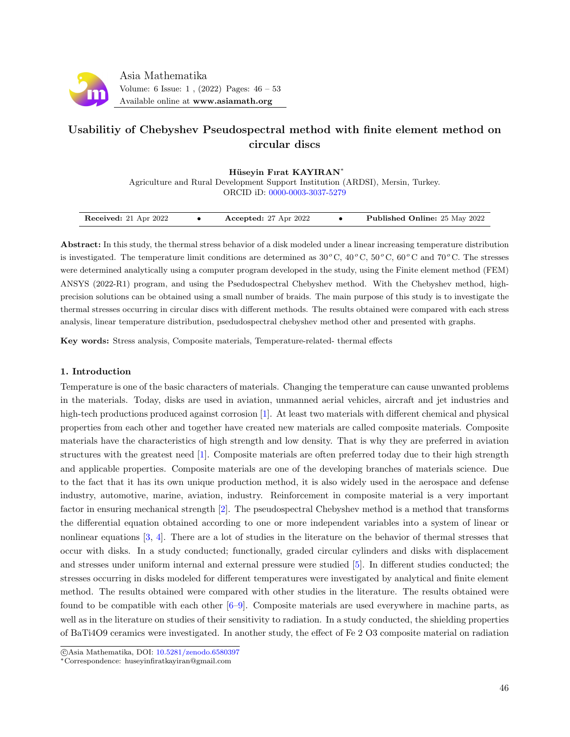

# Usabilitiy of Chebyshev Pseudospectral method with finite element method on circular discs

Hüseyin Fırat KAYIRAN<sup>\*</sup>

Agriculture and Rural Development Support Institution (ARDSI), Mersin, Turkey.

ORCID iD: [0000-0003-3037-5279](https://orcid.org/0000-0003-3037-5279)

| Received: 21 Apr 2022 | Accepted: $27$ Apr $2022$ | <b>Published Online:</b> 25 May 2022 |
|-----------------------|---------------------------|--------------------------------------|
|                       |                           |                                      |

Abstract: In this study, the thermal stress behavior of a disk modeled under a linear increasing temperature distribution is investigated. The temperature limit conditions are determined as  $30^{\circ}$ C,  $40^{\circ}$ C,  $50^{\circ}$ C,  $60^{\circ}$ C and  $70^{\circ}$ C. The stresses were determined analytically using a computer program developed in the study, using the Finite element method (FEM) ANSYS (2022-R1) program, and using the Psedudospectral Chebyshev method. With the Chebyshev method, highprecision solutions can be obtained using a small number of braids. The main purpose of this study is to investigate the thermal stresses occurring in circular discs with different methods. The results obtained were compared with each stress analysis, linear temperature distribution, psedudospectral chebyshev method other and presented with graphs.

Key words: Stress analysis, Composite materials, Temperature-related- thermal effects

### 1. Introduction

Temperature is one of the basic characters of materials. Changing the temperature can cause unwanted problems in the materials. Today, disks are used in aviation, unmanned aerial vehicles, aircraft and jet industries and high-tech productions produced against corrosion [\[1\]](#page-7-0). At least two materials with different chemical and physical properties from each other and together have created new materials are called composite materials. Composite materials have the characteristics of high strength and low density. That is why they are preferred in aviation structures with the greatest need [\[1\]](#page-7-0). Composite materials are often preferred today due to their high strength and applicable properties. Composite materials are one of the developing branches of materials science. Due to the fact that it has its own unique production method, it is also widely used in the aerospace and defense industry, automotive, marine, aviation, industry. Reinforcement in composite material is a very important factor in ensuring mechanical strength [\[2\]](#page-7-1). The pseudospectral Chebyshev method is a method that transforms the differential equation obtained according to one or more independent variables into a system of linear or nonlinear equations [\[3,](#page-7-2) [4\]](#page-7-3). There are a lot of studies in the literature on the behavior of thermal stresses that occur with disks. In a study conducted; functionally, graded circular cylinders and disks with displacement and stresses under uniform internal and external pressure were studied [\[5\]](#page-7-4). In different studies conducted; the stresses occurring in disks modeled for different temperatures were investigated by analytical and finite element method. The results obtained were compared with other studies in the literature. The results obtained were found to be compatible with each other [\[6–](#page-7-5)[9\]](#page-7-6). Composite materials are used everywhere in machine parts, as well as in the literature on studies of their sensitivity to radiation. In a study conducted, the shielding properties of BaTi4O9 ceramics were investigated. In another study, the effect of Fe 2 O3 composite material on radiation

c Asia Mathematika, DOI: [10.5281/zenodo.6580397](http://www.asiamath.org/article/vol6iss1/AM-2204-6113.pdf)

<sup>∗</sup>Correspondence: huseyinfiratkayiran@gmail.com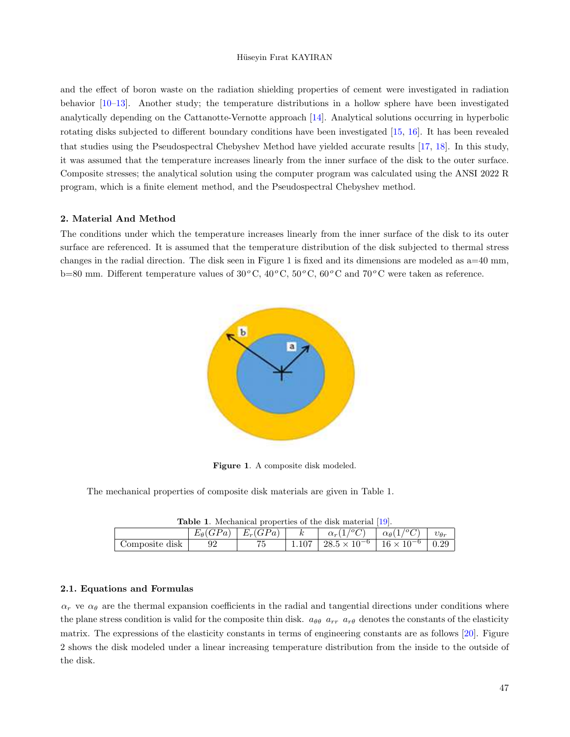and the effect of boron waste on the radiation shielding properties of cement were investigated in radiation behavior [\[10–](#page-7-7)[13\]](#page-7-8). Another study; the temperature distributions in a hollow sphere have been investigated analytically depending on the Cattanotte-Vernotte approach [\[14\]](#page-7-9). Analytical solutions occurring in hyperbolic rotating disks subjected to different boundary conditions have been investigated [\[15,](#page-7-10) [16\]](#page-7-11). It has been revealed that studies using the Pseudospectral Chebyshev Method have yielded accurate results [\[17,](#page-7-12) [18\]](#page-7-13). In this study, it was assumed that the temperature increases linearly from the inner surface of the disk to the outer surface. Composite stresses; the analytical solution using the computer program was calculated using the ANSI 2022 R program, which is a finite element method, and the Pseudospectral Chebyshev method.

#### 2. Material And Method

The conditions under which the temperature increases linearly from the inner surface of the disk to its outer surface are referenced. It is assumed that the temperature distribution of the disk subjected to thermal stress changes in the radial direction. The disk seen in Figure 1 is fixed and its dimensions are modeled as a=40 mm, b=80 mm. Different temperature values of  $30^{\circ}$ C,  $40^{\circ}$ C,  $50^{\circ}$ C,  $60^{\circ}$ C and  $70^{\circ}$ C were taken as reference.



Figure 1. A composite disk modeled.

The mechanical properties of composite disk materials are given in Table 1.

| <b>Table 1.</b> Mechanical properties of the disk material [19]. |    |                                    |  |                                                                                |  |  |  |  |
|------------------------------------------------------------------|----|------------------------------------|--|--------------------------------------------------------------------------------|--|--|--|--|
|                                                                  |    | $E_{\theta}(GPa)   E_r(GPa)   k  $ |  | $\alpha_r(1^{\prime o}C)$ $\alpha_{\theta}(1^{\prime o}C)$ $\alpha_{\theta_r}$ |  |  |  |  |
| Composite disk                                                   | 92 |                                    |  | $1.107 \div 28.5 \times 10^{-6} \div 16 \times 10^{-6} \div 0.29$              |  |  |  |  |

#### 2.1. Equations and Formulas

 $\alpha_r$  ve  $\alpha_\theta$  are the thermal expansion coefficients in the radial and tangential directions under conditions where the plane stress condition is valid for the composite thin disk.  $a_{\theta\theta}$   $a_{rr}$   $a_{r\theta}$  denotes the constants of the elasticity matrix. The expressions of the elasticity constants in terms of engineering constants are as follows [\[20\]](#page-7-15). Figure 2 shows the disk modeled under a linear increasing temperature distribution from the inside to the outside of the disk.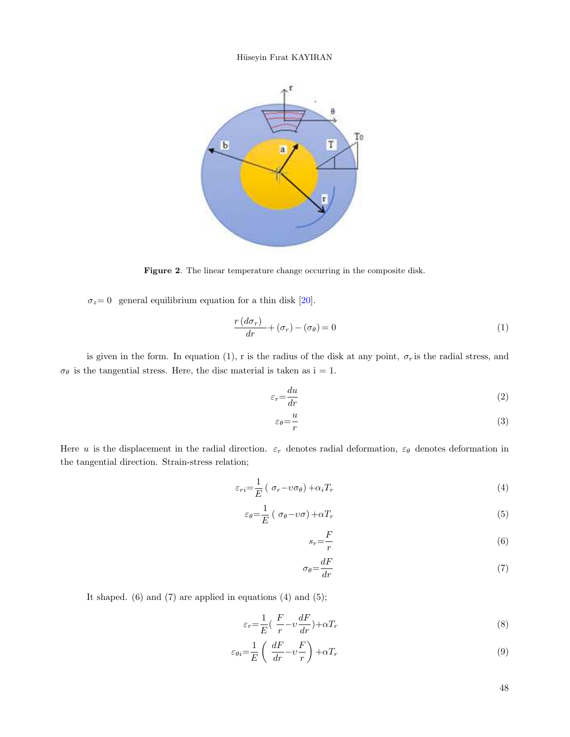

Figure 2. The linear temperature change occurring in the composite disk.

 $\sigma_z=0$  general equilibrium equation for a thin disk [\[20\]](#page-7-15).

$$
\frac{r\left(d\sigma_{r}\right)}{dr} + \left(\sigma_{r}\right) - \left(\sigma_{\theta}\right) = 0\tag{1}
$$

is given in the form. In equation (1), r is the radius of the disk at any point,  $\sigma_r$  is the radial stress, and  $\sigma_{\theta}$  is the tangential stress. Here, the disc material is taken as  $i = 1$ .

$$
\varepsilon_r = \frac{du}{dr} \tag{2}
$$

$$
\varepsilon_{\theta} = \frac{u}{r} \tag{3}
$$

Here u is the displacement in the radial direction.  $\varepsilon_r$  denotes radial deformation,  $\varepsilon_\theta$  denotes deformation in the tangential direction. Strain-stress relation;

$$
\varepsilon_{ri} = \frac{1}{E} \left( \sigma_r - \upsilon \sigma_\theta \right) + \alpha_i T_r \tag{4}
$$

$$
\varepsilon_{\theta} = \frac{1}{E} \left( \sigma_{\theta} - \upsilon \sigma \right) + \alpha T_r \tag{5}
$$

$$
s_r = \frac{F}{r} \tag{6}
$$

$$
\sigma_{\theta} = \frac{dF}{dr} \tag{7}
$$

It shaped.  $(6)$  and  $(7)$  are applied in equations  $(4)$  and  $(5)$ ;

$$
\varepsilon_r = \frac{1}{E} \left( \frac{F}{r} - v \frac{dF}{dr} \right) + \alpha T_r \tag{8}
$$

$$
\varepsilon_{\theta i} = \frac{1}{E} \left( \frac{dF}{dr} - v \frac{F}{r} \right) + \alpha T_r \tag{9}
$$

48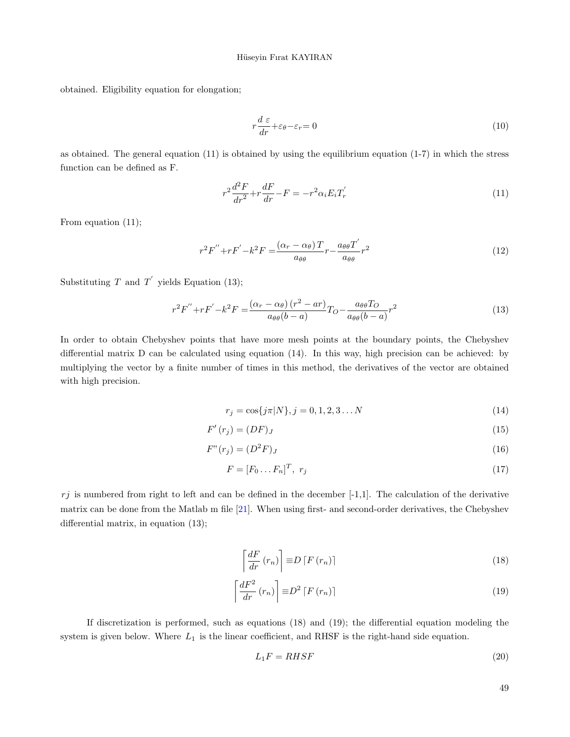obtained. Eligibility equation for elongation;

$$
r\frac{d\,\varepsilon}{dr} + \varepsilon_{\theta} - \varepsilon_r = 0\tag{10}
$$

as obtained. The general equation (11) is obtained by using the equilibrium equation (1-7) in which the stress function can be defined as F.

$$
r^2\frac{d^2F}{dr^2} + r\frac{dF}{dr} - F = -r^2\alpha_i E_i T'_r \tag{11}
$$

From equation (11);

$$
r^{2}F'' + rF' - k^{2}F = \frac{(\alpha_{r} - \alpha_{\theta})T}{a_{\theta\theta}}r - \frac{a_{\theta\theta}T'}{a_{\theta\theta}}r^{2}
$$
\n(12)

Substituting T and T' yields Equation (13);

$$
r^{2}F'' + rF' - k^{2}F = \frac{\left(\alpha_{r} - \alpha_{\theta}\right)\left(r^{2} - ar\right)}{a_{\theta\theta}(b - a)}T_{O} - \frac{a_{\theta\theta}T_{O}}{a_{\theta\theta}(b - a)}r^{2}
$$
\n
$$
\tag{13}
$$

In order to obtain Chebyshev points that have more mesh points at the boundary points, the Chebyshev differential matrix D can be calculated using equation (14). In this way, high precision can be achieved: by multiplying the vector by a finite number of times in this method, the derivatives of the vector are obtained with high precision.

$$
r_j = \cos\{j\pi|N\}, j = 0, 1, 2, 3...N
$$
\n(14)

$$
F'(r_j) = (DF)_J \tag{15}
$$

$$
F''(r_j) = (D^2 F)_J \tag{16}
$$

$$
F = [F_0 \dots F_n]^T, \ r_j \tag{17}
$$

 $r_j$  is numbered from right to left and can be defined in the december  $[-1,1]$ . The calculation of the derivative matrix can be done from the Matlab m file [\[21\]](#page-7-16). When using first- and second-order derivatives, the Chebyshev differential matrix, in equation (13);

$$
\left\lceil \frac{dF}{dr} \left( r_n \right) \right\rceil \equiv D \left\lceil F \left( r_n \right) \right\rceil \tag{18}
$$

$$
\left\lceil \frac{dF^2}{dr} \left( r_n \right) \right\rceil \equiv D^2 \left[ F \left( r_n \right) \right] \tag{19}
$$

If discretization is performed, such as equations (18) and (19); the differential equation modeling the system is given below. Where  $L_1$  is the linear coefficient, and RHSF is the right-hand side equation.

$$
L_1F = RHSF \tag{20}
$$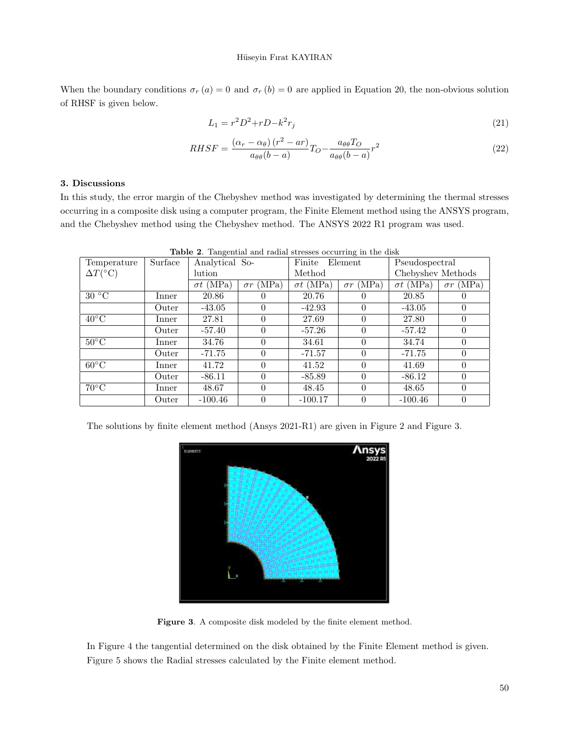When the boundary conditions  $\sigma_r(a) = 0$  and  $\sigma_r(b) = 0$  are applied in Equation 20, the non-obvious solution of RHSF is given below.

$$
L_1 = r^2 D^2 + r D - k^2 r_j \tag{21}
$$

$$
RHSF = \frac{(\alpha_r - \alpha_\theta)(r^2 - ar)}{a_{\theta\theta}(b - a)}T_O - \frac{a_{\theta\theta}T_O}{a_{\theta\theta}(b - a)}r^2
$$
\n(22)

### 3. Discussions

In this study, the error margin of the Chebyshev method was investigated by determining the thermal stresses occurring in a composite disk using a computer program, the Finite Element method using the ANSYS program, and the Chebyshev method using the Chebyshev method. The ANSYS 2022 R1 program was used.

| Temperature             | Surface | Analytical So-   |                     | rangement and radial bereboo occarring in the dist<br>Finite<br>Element |                     | Pseudospectral    |                     |
|-------------------------|---------|------------------|---------------------|-------------------------------------------------------------------------|---------------------|-------------------|---------------------|
| $\Delta T({}^{\circ}C)$ |         | lution           |                     | Method                                                                  |                     | Chebyshev Methods |                     |
|                         |         | $\sigma t$ (MPa) | (MPa)<br>$\sigma r$ | $\sigma t$ (MPa)                                                        | (MPa)<br>$\sigma r$ | $\sigma t$ (MPa)  | (MPa)<br>$\sigma r$ |
| 30 °C                   | Inner   | 20.86            | $\theta$            | 20.76                                                                   | $\theta$            | 20.85             | $\theta$            |
|                         | Outer   | $-43.05$         | 0                   | $-42.93$                                                                | $\theta$            | $-43.05$          | $\theta$            |
| $40^{\circ}$ C          | Inner   | 27.81            | $\theta$            | 27.69                                                                   | $\theta$            | 27.80             | $\theta$            |
|                         | Outer   | -57.40           | 0                   | $-57.26$                                                                | $\theta$            | $-57.42$          | $\theta$            |
| $50^{\circ}$ C          | Inner   | 34.76            | $\theta$            | 34.61                                                                   | $\theta$            | 34.74             | $\theta$            |
|                         | Outer   | $-71.75$         | $\Omega$            | $-71.57$                                                                | $\Omega$            | $-71.75$          | $\theta$            |
| $60^{\circ}$ C          | Inner   | 41.72            | 0                   | 41.52                                                                   | $\Omega$            | 41.69             | $\Omega$            |
|                         | Outer   | $-86.11$         | $\theta$            | $-85.89$                                                                | $\theta$            | $-86.12$          | $\Omega$            |
| $70^{\circ}$ C          | Inner   | 48.67            | $\theta$            | 48.45                                                                   | $\theta$            | 48.65             | $\theta$            |
|                         | Outer   | $-100.46$        | $\theta$            | $-100.17$                                                               | $\Omega$            | $-100.46$         | $\theta$            |

Table 2. Tangential and radial stresses occurring in the disk

The solutions by finite element method (Ansys 2021-R1) are given in Figure 2 and Figure 3.



Figure 3. A composite disk modeled by the finite element method.

In Figure 4 the tangential determined on the disk obtained by the Finite Element method is given. Figure 5 shows the Radial stresses calculated by the Finite element method.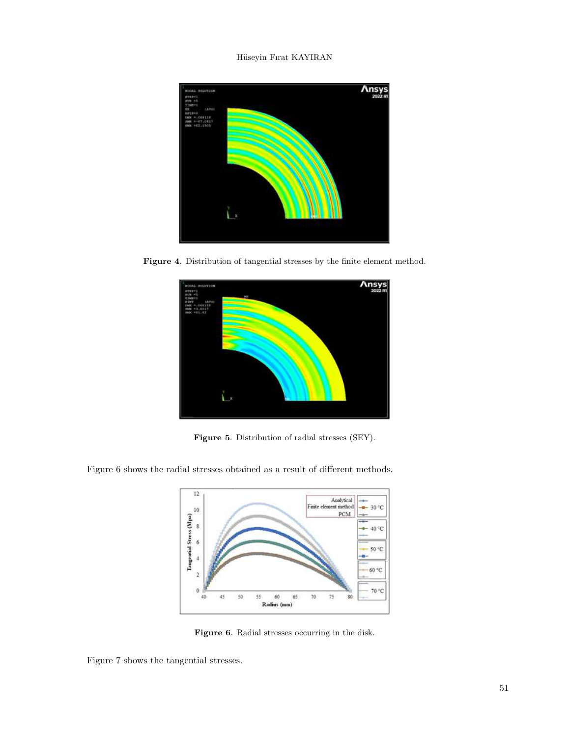

Figure 4. Distribution of tangential stresses by the finite element method.



Figure 5. Distribution of radial stresses (SEY).

Figure 6 shows the radial stresses obtained as a result of different methods.



Figure 6. Radial stresses occurring in the disk.

Figure 7 shows the tangential stresses.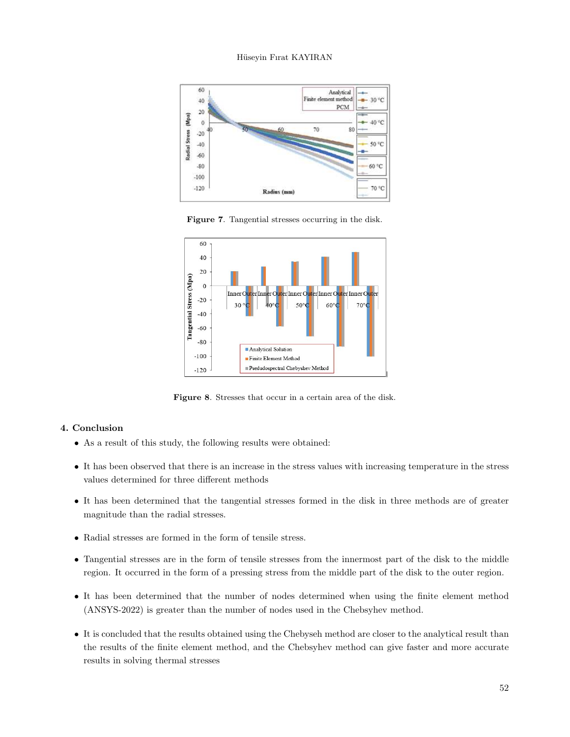

Figure 7. Tangential stresses occurring in the disk.



Figure 8. Stresses that occur in a certain area of the disk.

# 4. Conclusion

- As a result of this study, the following results were obtained:
- It has been observed that there is an increase in the stress values with increasing temperature in the stress values determined for three different methods
- It has been determined that the tangential stresses formed in the disk in three methods are of greater magnitude than the radial stresses.
- Radial stresses are formed in the form of tensile stress.
- Tangential stresses are in the form of tensile stresses from the innermost part of the disk to the middle region. It occurred in the form of a pressing stress from the middle part of the disk to the outer region.
- It has been determined that the number of nodes determined when using the finite element method (ANSYS-2022) is greater than the number of nodes used in the Chebsyhev method.
- It is concluded that the results obtained using the Chebyseh method are closer to the analytical result than the results of the finite element method, and the Chebsyhev method can give faster and more accurate results in solving thermal stresses